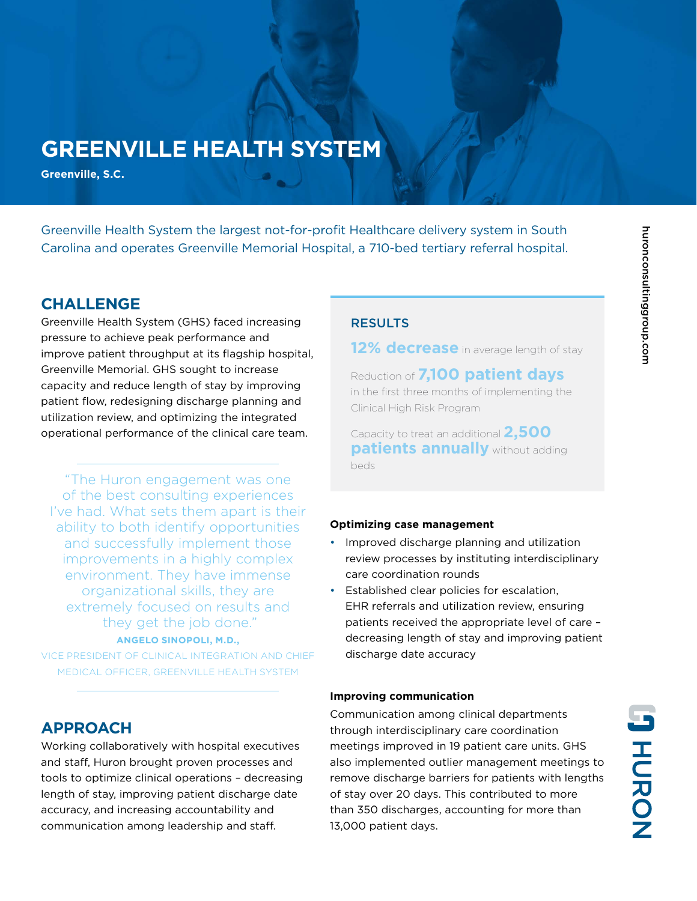# **GREENVILLE HEALTH SYSTEM**

**Greenville, S.C.**

Greenville Health System the largest not-for-profit Healthcare delivery system in South Carolina and operates Greenville Memorial Hospital, a 710-bed tertiary referral hospital.

## **CHALLENGE**

Greenville Health System (GHS) faced increasing pressure to achieve peak performance and improve patient throughput at its flagship hospital, Greenville Memorial. GHS sought to increase capacity and reduce length of stay by improving patient flow, redesigning discharge planning and utilization review, and optimizing the integrated operational performance of the clinical care team.

"The Huron engagement was one of the best consulting experiences I've had. What sets them apart is their ability to both identify opportunities and successfully implement those improvements in a highly complex environment. They have immense organizational skills, they are extremely focused on results and they get the job done." **ANGELO SINOPOLI, M.D.,**

VICE PRESIDENT OF CLINICAL INTEGRATION AND CHIEF MEDICAL OFFICER, GREENVILLE HEALTH SYSTEM

## **APPROACH**

Working collaboratively with hospital executives and staff, Huron brought proven processes and tools to optimize clinical operations – decreasing length of stay, improving patient discharge date accuracy, and increasing accountability and communication among leadership and staff.

### RESULTS

**12% decrease** in average length of stay

Reduction of **7,100 patient days** in the first three months of implementing the Clinical High Risk Program

Capacity to treat an additional **2,500 patients annually** without adding beds

#### **Optimizing case management**

- Improved discharge planning and utilization review processes by instituting interdisciplinary care coordination rounds
- Established clear policies for escalation, EHR referrals and utilization review, ensuring patients received the appropriate level of care – decreasing length of stay and improving patient discharge date accuracy

#### **Improving communication**

Communication among clinical departments through interdisciplinary care coordination meetings improved in 19 patient care units. GHS also implemented outlier management meetings to remove discharge barriers for patients with lengths of stay over 20 days. This contributed to more than 350 discharges, accounting for more than 13,000 patient days.